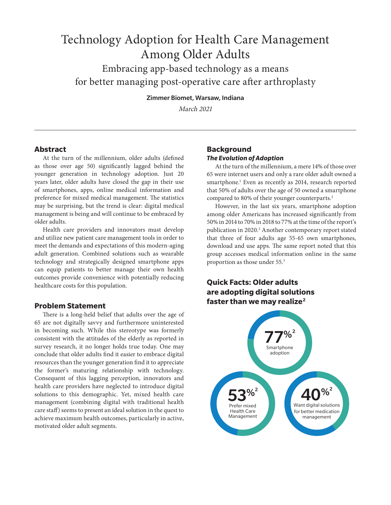# Technology Adoption for Health Care Management Among Older Adults

Embracing app-based technology as a means for better managing post-operative care after arthroplasty

Zimmer Biomet, Warsaw, Indiana

March 2021

## **Abstract**

At the turn of the millennium, older adults (defined as those over age 50) significantly lagged behind the younger generation in technology adoption. Just 20 years later, older adults have closed the gap in their use of smartphones, apps, online medical information and preference for mixed medical management. The statistics may be surprising, but the trend is clear: digital medical management is being and will continue to be embraced by older adults.

Health care providers and innovators must develop and utilize new patient care management tools in order to meet the demands and expectations of this modern-aging adult generation. Combined solutions such as wearable technology and strategically designed smartphone apps can equip patients to better manage their own health outcomes provide convenience with potentially reducing healthcare costs for this population.

## **Problem Statement**

There is a long-held belief that adults over the age of 65 are not digitally savvy and furthermore uninterested in becoming such. While this stereotype was formerly consistent with the attitudes of the elderly as reported in survey research, it no longer holds true today. One may conclude that older adults find it easier to embrace digital resources than the younger generation find it to appreciate the former's maturing relationship with technology. Consequent of this lagging perception, innovators and health care providers have neglected to introduce digital solutions to this demographic. Yet, mixed health care management (combining digital with traditional health care staff) seems to present an ideal solution in the quest to achieve maximum health outcomes, particularly in active, motivated older adult segments.

# **Background** *The Evolution of Adoption*

At the turn of the millennium, a mere 14% of those over 65 were internet users and only a rare older adult owned a smartphone.<sup>1</sup> Even as recently as 2014, research reported that 50% of adults over the age of 50 owned a smartphone compared to 80% of their younger counterparts.<sup>2</sup>

However, in the last six years, smartphone adoption among older Americans has increased significantly from 50% in 2014 to 70% in 2018 to 77% at the time of the report's publication in 2020.<sup>2</sup> Another contemporary report stated that three of four adults age 55-65 own smartphones, download and use apps. The same report noted that this group accesses medical information online in the same proportion as those under 55.3

# **Quick Facts: Older adults are adopting digital solutions faster than we may realize2**

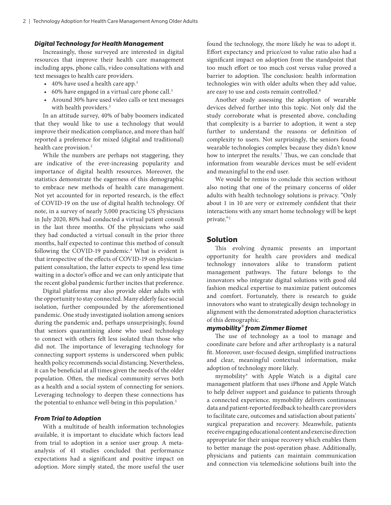#### *Digital Technology for Health Management*

Increasingly, those surveyed are interested in digital resources that improve their health care management including apps, phone calls, video consultations with and text messages to health care providers.

- 40% have used a health care app.<sup>3</sup>
- 60% have engaged in a virtual care phone call.<sup>3</sup>
- Around 30% have used video calls or text messages with health providers.<sup>3</sup>

In an attitude survey, 40% of baby boomers indicated that they would like to use a technology that would improve their medication compliance, and more than half reported a preference for mixed (digital and traditional) health care provision.<sup>2</sup>

While the numbers are perhaps not staggering, they are indicative of the ever-increasing popularity and importance of digital health resources. Moreover, the statistics demonstrate the eagerness of this demographic to embrace new methods of health care management. Not yet accounted for in reported research, is the effect of COVID-19 on the use of digital health technology. Of note, in a survey of nearly 5,000 practicing US physicians in July 2020, 80% had conducted a virtual patient consult in the last three months. Of the physicians who said they had conducted a virtual consult in the prior three months, half expected to continue this method of consult following the COVID-19 pandemic.<sup>4</sup> What is evident is that irrespective of the effects of COVID-19 on physicianpatient consultation, the latter expects to spend less time waiting in a doctor's office and we can only anticipate that the recent global pandemic further incites that preference.

Digital platforms may also provide older adults with the opportunity to stay connected. Many elderly face social isolation, further compounded by the aforementioned pandemic. One study investigated isolation among seniors during the pandemic and, perhaps unsurprisingly, found that seniors quarantining alone who used technology to connect with others felt less isolated than those who did not. The importance of leveraging technology for connecting support systems is underscored when public health policy recommends social distancing. Nevertheless, it can be beneficial at all times given the needs of the older population. Often, the medical community serves both as a health and a social system of connecting for seniors. Leveraging technology to deepen these connections has the potential to enhance well-being in this population.<sup>5</sup>

#### *From Trial to Adoption*

With a multitude of health information technologies available, it is important to elucidate which factors lead from trial to adoption in a senior user group. A metaanalysis of 41 studies concluded that performance expectations had a significant and positive impact on adoption. More simply stated, the more useful the user found the technology, the more likely he was to adopt it. Effort expectancy and price/cost to value ratio also had a significant impact on adoption from the standpoint that too much effort or too much cost versus value proved a barrier to adoption. The conclusion: health information technologies win with older adults when they add value, are easy to use and costs remain controlled.<sup>6</sup>

Another study assessing the adoption of wearable devices delved further into this topic. Not only did the study corroborate what is presented above, concluding that complexity is a barrier to adoption, it went a step further to understand the reasons or definition of complexity to users. Not surprisingly, the seniors found wearable technologies complex because they didn't know how to interpret the results.<sup>7</sup> Thus, we can conclude that information from wearable devices must be self-evident and meaningful to the end user.

We would be remiss to conclude this section without also noting that one of the primary concerns of older adults with health technology solutions is privacy. "Only about 1 in 10 are very or extremely confident that their interactions with any smart home technology will be kept private."2

#### **Solution**

This evolving dynamic presents an important opportunity for health care providers and medical technology innovators alike to transform patient management pathways. The future belongs to the innovators who integrate digital solutions with good old fashion medical expertise to maximize patient outcomes and comfort. Fortunately, there is research to guide innovators who want to strategically design technology in alignment with the demonstrated adoption characteristics of this demographic.

#### *mymobility® from Zimmer Biomet*

The use of technology as a tool to manage and coordinate care before and after arthroplasty is a natural fit. Moreover, user-focused design, simplified instructions and clear, meaningful contextual information, make adoption of technology more likely.

mymobility® with Apple Watch is a digital care management platform that uses iPhone and Apple Watch to help deliver support and guidance to patients through a connected experience. mymobility delivers continuous data and patient-reported feedback to health care providers to facilitate care, outcomes and satisfaction about patients' surgical preparation and recovery. Meanwhile, patients receive engaging educational content and exercise direction appropriate for their unique recovery which enables them to better manage the post-operation phase. Additionally, physicians and patients can maintain communication and connection via telemedicine solutions built into the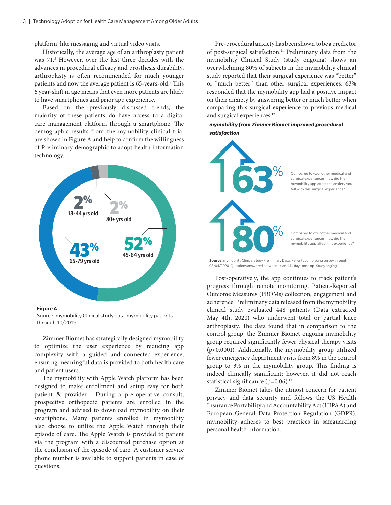platform, like messaging and virtual video visits.

Historically, the average age of an arthroplasty patient was 71.8 However, over the last three decades with the advances in procedural efficacy and prosthesis durability, arthroplasty is often recommended for much younger patients and now the average patient is 65-years-old.<sup>9</sup> This 6 year-shift in age means that even more patients are likely to have smartphones and prior app experience.

Based on the previously discussed trends, the majority of these patients do have access to a digital care management platform through a smartphone. The demographic results from the mymobility clinical trial are shown in Figure A and help to confirm the willingness of Preliminary demographic to adopt health information technology.10



Figure A

Source: mymobility Clinical study data-mymobility patients through 10/2019

Zimmer Biomet has strategically designed mymobility to optimize the user experience by reducing app complexity with a guided and connected experience, ensuring meaningful data is provided to both health care and patient users.

The mymobility with Apple Watch platform has been designed to make enrollment and setup easy for both patient & provider. During a pre-operative consult, prospective orthopedic patients are enrolled in the program and advised to download mymobility on their smartphone. Many patients enrolled in mymobility also choose to utilize the Apple Watch through their episode of care. The Apple Watch is provided to patient via the program with a discounted purchase option at the conclusion of the episode of care. A customer service phone number is available to support patients in case of questions.

Pre-procedural anxiety has been shown to be a predictor of post-surgical satisfaction.<sup>11</sup> Preliminary data from the mymobility Clinical Study (study ongoing) shows an overwhelming 80% of subjects in the mymobility clinical study reported that their surgical experience was "better" or "much better" than other surgical experiences. 63% responded that the mymobility app had a positive impact on their anxiety by answering better or much better when comparing this surgical experience to previous medical and surgical experiences.<sup>12</sup>

#### *mymobility from Zimmer Biomet improved procedural satisfaction*



**Source:** mymobility Clinical study Preliminary Data. Patients completing survey through 08/04/2020. Questions answered between 14 and 44 days post-op. Study onging.

Post-operatively, the app continues to track patient's progress through remote monitoring, Patient-Reported Outcome Measures (PROMs) collection, engagement and adherence. Preliminary data released from the mymobility clinical study evaluated 448 patients (Data extracted May 4th, 2020) who underwent total or partial knee arthroplasty. The data found that in comparison to the control group, the Zimmer Biomet ongoing mymobility group required significantly fewer physical therapy visits (p<0.0001). Additionally, the mymobility group utilized fewer emergency department visits from 8% in the control group to 3% in the mymobility group. This finding is indeed clinically significant; however, it did not reach statistical significance  $(p=0.06)$ .<sup>13</sup>

Zimmer Biomet takes the utmost concern for patient privacy and data security and follows the US Health Insurance Portability and Accountability Act (HIPAA) and European General Data Protection Regulation (GDPR). mymobility adheres to best practices in safeguarding personal health information.